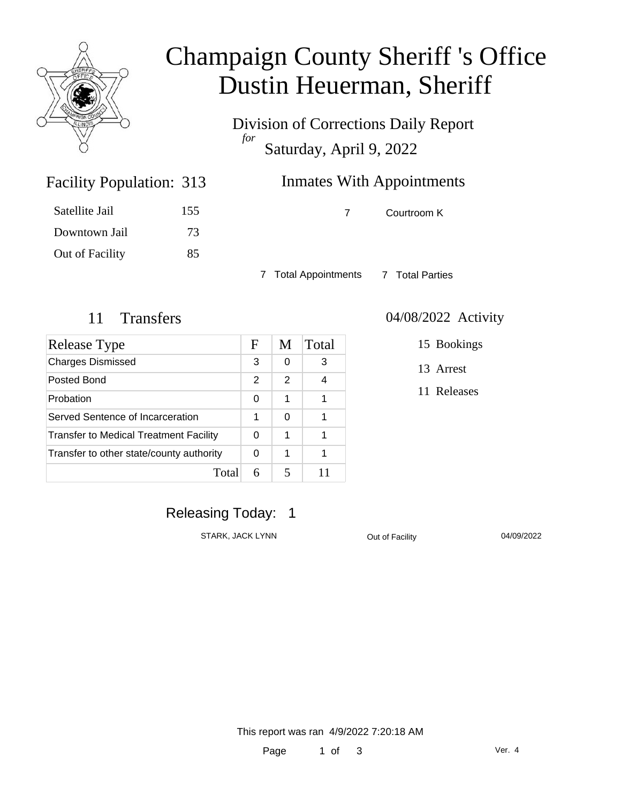

# Champaign County Sheriff 's Office Dustin Heuerman, Sheriff

Division of Corrections Daily Report *for* Saturday, April 9, 2022

# Inmates With Appointments

Facility Population: 313

| Satellite Jail  | 155 |
|-----------------|-----|
| Downtown Jail   | 73  |
| Out of Facility | 85  |

7 Courtroom K

7 Total Appointments 7 Total Parties

| Release Type                             | F | M | Total |
|------------------------------------------|---|---|-------|
| <b>Charges Dismissed</b>                 | 3 | 0 | 3     |
| Posted Bond                              | 2 | 2 | 4     |
| Probation                                | 0 | 1 | 1     |
| Served Sentence of Incarceration         | 1 | 0 | 1     |
| Transfer to Medical Treatment Facility   | 0 | 1 | 1     |
| Transfer to other state/county authority | 0 | 1 |       |
| Total                                    |   |   |       |

#### 11 Transfers 04/08/2022 Activity

15 Bookings

13 Arrest

11 Releases

## Releasing Today: 1

STARK, JACK LYNN CULL COUL OUT OUT OUT OF Facility COUP OF TACK OF THE OLD OF OUT OF OUR OF OUT OF OUR OF OUR O

This report was ran 4/9/2022 7:20:18 AM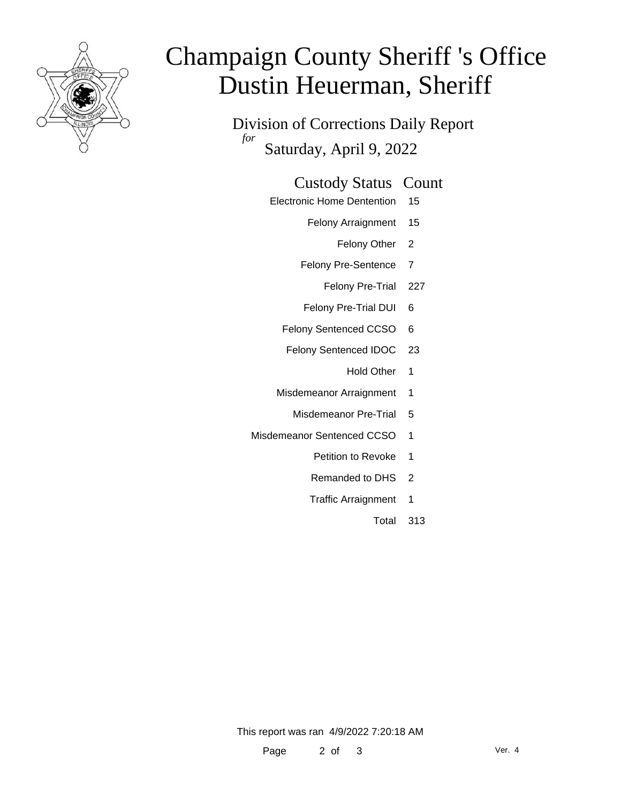

# Champaign County Sheriff 's Office Dustin Heuerman, Sheriff

Division of Corrections Daily Report *for* Saturday, April 9, 2022

#### Custody Status Count

- Electronic Home Dentention 15
	- Felony Arraignment 15
		- Felony Other 2
	- Felony Pre-Sentence 7
		- Felony Pre-Trial 227
	- Felony Pre-Trial DUI 6
	- Felony Sentenced CCSO 6
	- Felony Sentenced IDOC 23
		- Hold Other 1
	- Misdemeanor Arraignment 1
		- Misdemeanor Pre-Trial 5
- Misdemeanor Sentenced CCSO 1
	- Petition to Revoke 1
	- Remanded to DHS 2
	- Traffic Arraignment 1
		- Total 313

This report was ran 4/9/2022 7:20:18 AM